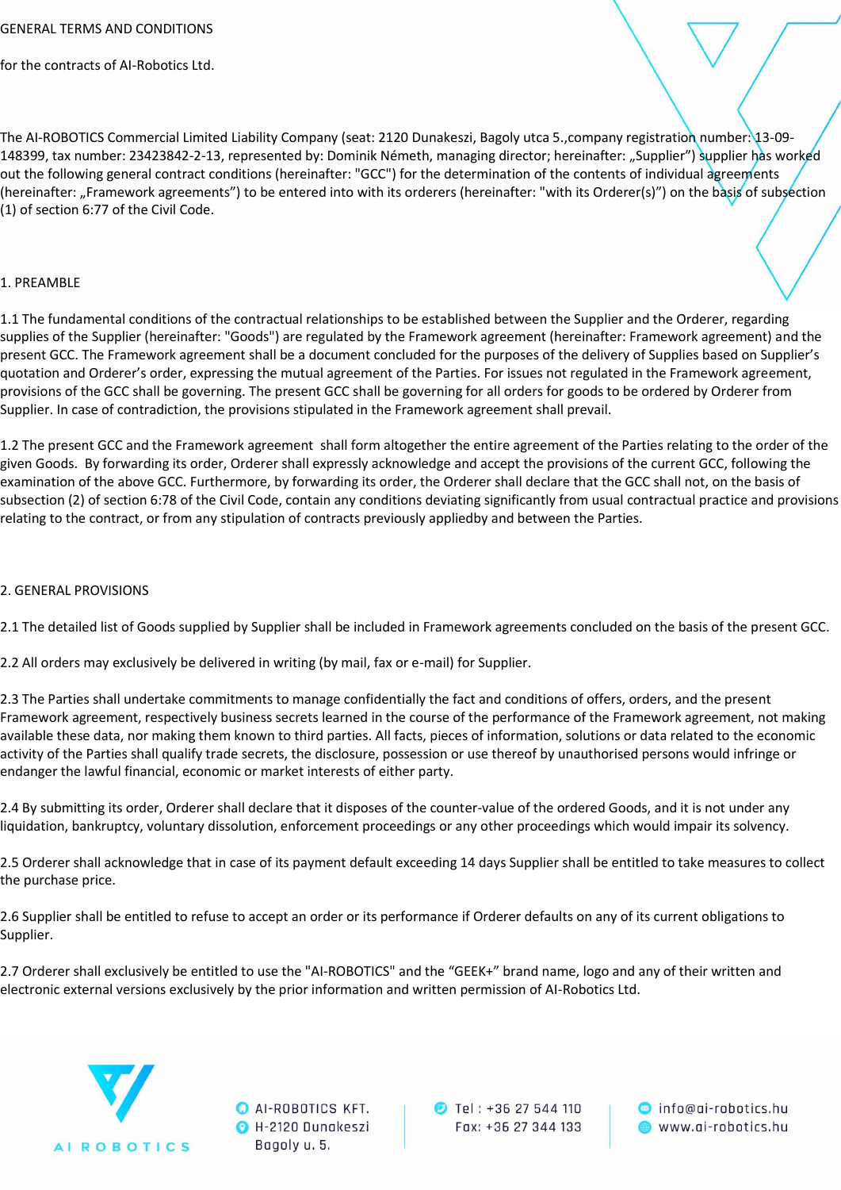for the contracts of AI-Robotics Ltd.

The AI-ROBOTICS Commercial Limited Liability Company (seat: 2120 Dunakeszi, Bagoly utca 5.,company registration number: 13-09- 148399, tax number: 23423842-2-13, represented by: Dominik Németh, managing director; hereinafter: "Supplier") supplier has worked out the following general contract conditions (hereinafter: "GCC") for the determination of the contents of individual agreements (hereinafter: "Framework agreements") to be entered into with its orderers (hereinafter: "with its Orderer(s)") on the basis of subsection (1) of section 6:77 of the Civil Code.

# 1. PREAMBLE

1.1 The fundamental conditions of the contractual relationships to be established between the Supplier and the Orderer, regarding supplies of the Supplier (hereinafter: "Goods") are regulated by the Framework agreement (hereinafter: Framework agreement) and the present GCC. The Framework agreement shall be a document concluded for the purposes of the delivery of Supplies based on Supplier's quotation and Orderer's order, expressing the mutual agreement of the Parties. For issues not regulated in the Framework agreement, provisions of the GCC shall be governing. The present GCC shall be governing for all orders for goods to be ordered by Orderer from Supplier. In case of contradiction, the provisions stipulated in the Framework agreement shall prevail.

1.2 The present GCC and the Framework agreement shall form altogether the entire agreement of the Parties relating to the order of the given Goods. By forwarding its order, Orderer shall expressly acknowledge and accept the provisions of the current GCC, following the examination of the above GCC. Furthermore, by forwarding its order, the Orderer shall declare that the GCC shall not, on the basis of subsection (2) of section 6:78 of the Civil Code, contain any conditions deviating significantly from usual contractual practice and provisions relating to the contract, or from any stipulation of contracts previously appliedby and between the Parties.

# 2. GENERAL PROVISIONS

2.1 The detailed list of Goods supplied by Supplier shall be included in Framework agreements concluded on the basis of the present GCC.

2.2 All orders may exclusively be delivered in writing (by mail, fax or e-mail) for Supplier.

2.3 The Parties shall undertake commitments to manage confidentially the fact and conditions of offers, orders, and the present Framework agreement, respectively business secrets learned in the course of the performance of the Framework agreement, not making available these data, nor making them known to third parties. All facts, pieces of information, solutions or data related to the economic activity of the Parties shall qualify trade secrets, the disclosure, possession or use thereof by unauthorised persons would infringe or endanger the lawful financial, economic or market interests of either party.

2.4 By submitting its order, Orderer shall declare that it disposes of the counter-value of the ordered Goods, and it is not under any liquidation, bankruptcy, voluntary dissolution, enforcement proceedings or any other proceedings which would impair its solvency.

2.5 Orderer shall acknowledge that in case of its payment default exceeding 14 days Supplier shall be entitled to take measures to collect the purchase price.

2.6 Supplier shall be entitled to refuse to accept an order or its performance if Orderer defaults on any of its current obligations to Supplier.

2.7 Orderer shall exclusively be entitled to use the "AI-ROBOTICS" and the "GEEK+" brand name, logo and any of their written and electronic external versions exclusively by the prior information and written permission of AI-Robotics Ltd.



**O** AI-ROBOTICS KFT. O H-2120 Dunakeszi Bagoly u. 5.

**D** Tel: +36 27 544 110 Fax: +36 27 344 133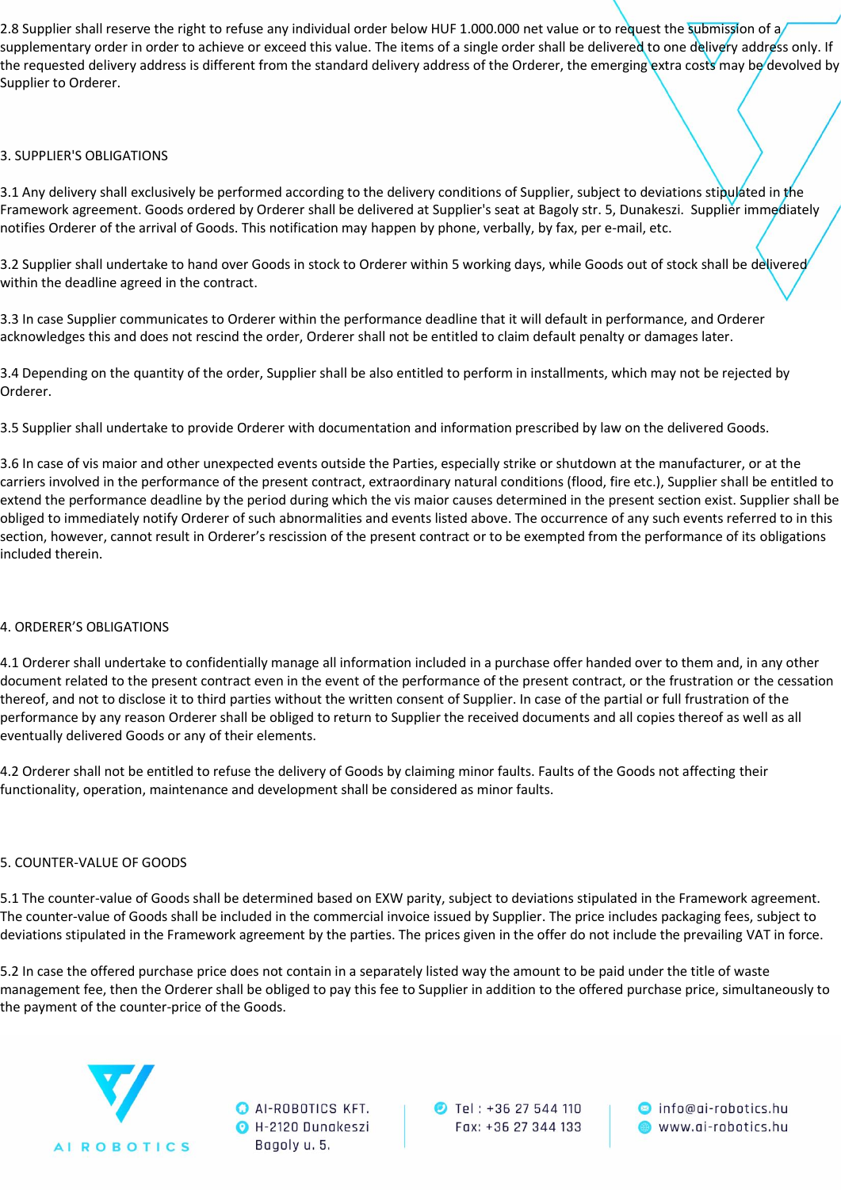2.8 Supplier shall reserve the right to refuse any individual order below HUF 1.000.000 net value or to request the submission of a supplementary order in order to achieve or exceed this value. The items of a single order shall be delivered to one delivery address only. If the requested delivery address is different from the standard delivery address of the Orderer, the emerging extra costs may be devolved by Supplier to Orderer.

#### 3. SUPPLIER'S OBLIGATIONS

3.1 Any delivery shall exclusively be performed according to the delivery conditions of Supplier, subject to deviations stipulated in the Framework agreement. Goods ordered by Orderer shall be delivered at Supplier's seat at Bagoly str. 5, Dunakeszi. Supplier immediately notifies Orderer of the arrival of Goods. This notification may happen by phone, verbally, by fax, per e-mail, etc.

3.2 Supplier shall undertake to hand over Goods in stock to Orderer within 5 working days, while Goods out of stock shall be delivered within the deadline agreed in the contract.

3.3 In case Supplier communicates to Orderer within the performance deadline that it will default in performance, and Orderer acknowledges this and does not rescind the order, Orderer shall not be entitled to claim default penalty or damages later.

3.4 Depending on the quantity of the order, Supplier shall be also entitled to perform in installments, which may not be rejected by Orderer.

3.5 Supplier shall undertake to provide Orderer with documentation and information prescribed by law on the delivered Goods.

3.6 In case of vis maior and other unexpected events outside the Parties, especially strike or shutdown at the manufacturer, or at the carriers involved in the performance of the present contract, extraordinary natural conditions (flood, fire etc.), Supplier shall be entitled to extend the performance deadline by the period during which the vis maior causes determined in the present section exist. Supplier shall be obliged to immediately notify Orderer of such abnormalities and events listed above. The occurrence of any such events referred to in this section, however, cannot result in Orderer's rescission of the present contract or to be exempted from the performance of its obligations included therein.

# 4. ORDERER'S OBLIGATIONS

4.1 Orderer shall undertake to confidentially manage all information included in a purchase offer handed over to them and, in any other document related to the present contract even in the event of the performance of the present contract, or the frustration or the cessation thereof, and not to disclose it to third parties without the written consent of Supplier. In case of the partial or full frustration of the performance by any reason Orderer shall be obliged to return to Supplier the received documents and all copies thereof as well as all eventually delivered Goods or any of their elements.

4.2 Orderer shall not be entitled to refuse the delivery of Goods by claiming minor faults. Faults of the Goods not affecting their functionality, operation, maintenance and development shall be considered as minor faults.

#### 5. COUNTER-VALUE OF GOODS

5.1 The counter-value of Goods shall be determined based on EXW parity, subject to deviations stipulated in the Framework agreement. The counter-value of Goods shall be included in the commercial invoice issued by Supplier. The price includes packaging fees, subject to deviations stipulated in the Framework agreement by the parties. The prices given in the offer do not include the prevailing VAT in force.

5.2 In case the offered purchase price does not contain in a separately listed way the amount to be paid under the title of waste management fee, then the Orderer shall be obliged to pay this fee to Supplier in addition to the offered purchase price, simultaneously to the payment of the counter-price of the Goods.



**O** AI-ROBOTICS KFT. O H-2120 Dunakeszi Bagoly u. 5.

**D** Tel: +36 27 544 110 Fax: +36 27 344 133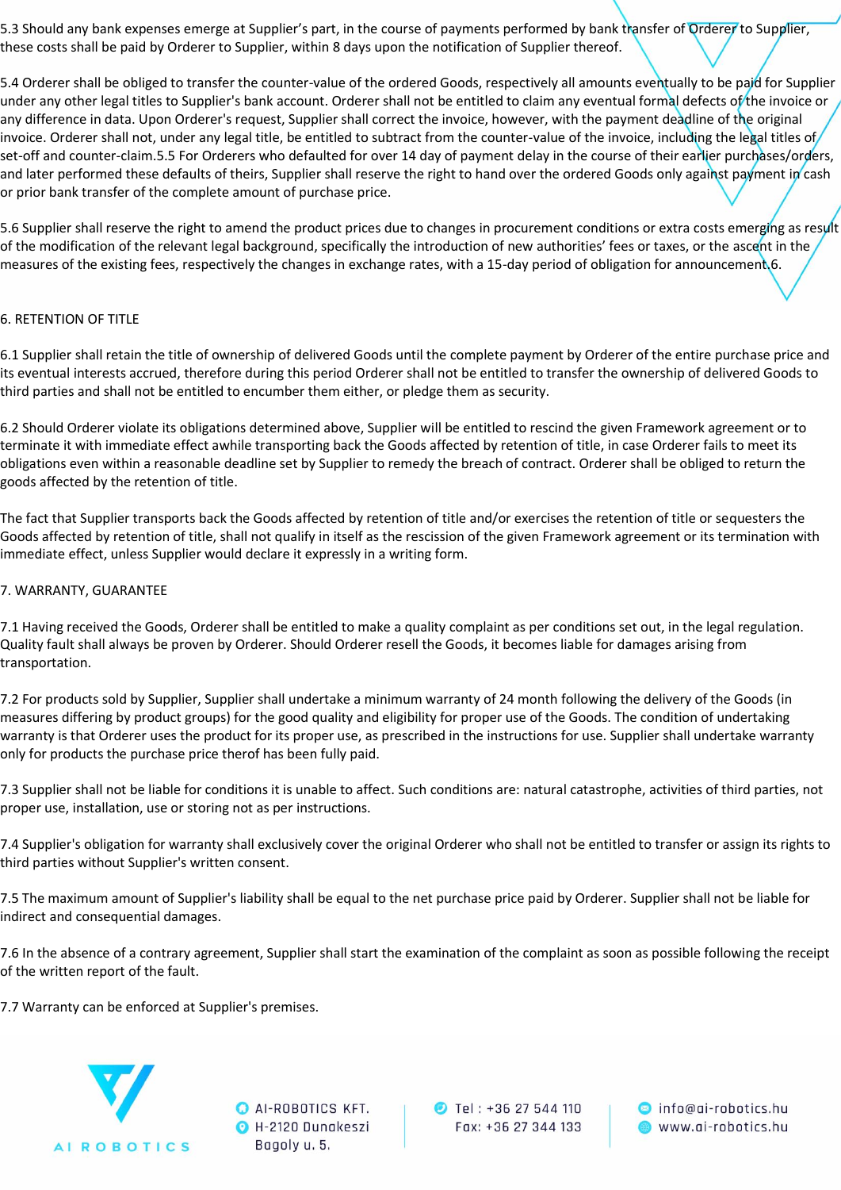5.3 Should any bank expenses emerge at Supplier's part, in the course of payments performed by bank transfer of Orderer to Supplier, these costs shall be paid by Orderer to Supplier, within 8 days upon the notification of Supplier thereof.

5.4 Orderer shall be obliged to transfer the counter-value of the ordered Goods, respectively all amounts eventually to be paid for Supplier under any other legal titles to Supplier's bank account. Orderer shall not be entitled to claim any eventual formal defects of the invoice or any difference in data. Upon Orderer's request, Supplier shall correct the invoice, however, with the payment deadline of the original invoice. Orderer shall not, under any legal title, be entitled to subtract from the counter-value of the invoice, including the legal titles of set-off and counter-claim.5.5 For Orderers who defaulted for over 14 day of payment delay in the course of their earlier purchases/orders, and later performed these defaults of theirs, Supplier shall reserve the right to hand over the ordered Goods only against payment in cash or prior bank transfer of the complete amount of purchase price.

5.6 Supplier shall reserve the right to amend the product prices due to changes in procurement conditions or extra costs emerging as result of the modification of the relevant legal background, specifically the introduction of new authorities' fees or taxes, or the ascent in the measures of the existing fees, respectively the changes in exchange rates, with a 15-day period of obligation for announcement.6.

# 6. RETENTION OF TITLE

6.1 Supplier shall retain the title of ownership of delivered Goods until the complete payment by Orderer of the entire purchase price and its eventual interests accrued, therefore during this period Orderer shall not be entitled to transfer the ownership of delivered Goods to third parties and shall not be entitled to encumber them either, or pledge them as security.

6.2 Should Orderer violate its obligations determined above, Supplier will be entitled to rescind the given Framework agreement or to terminate it with immediate effect awhile transporting back the Goods affected by retention of title, in case Orderer fails to meet its obligations even within a reasonable deadline set by Supplier to remedy the breach of contract. Orderer shall be obliged to return the goods affected by the retention of title.

The fact that Supplier transports back the Goods affected by retention of title and/or exercises the retention of title or sequesters the Goods affected by retention of title, shall not qualify in itself as the rescission of the given Framework agreement or its termination with immediate effect, unless Supplier would declare it expressly in a writing form.

#### 7. WARRANTY, GUARANTEE

7.1 Having received the Goods, Orderer shall be entitled to make a quality complaint as per conditions set out, in the legal regulation. Quality fault shall always be proven by Orderer. Should Orderer resell the Goods, it becomes liable for damages arising from transportation.

7.2 For products sold by Supplier, Supplier shall undertake a minimum warranty of 24 month following the delivery of the Goods (in measures differing by product groups) for the good quality and eligibility for proper use of the Goods. The condition of undertaking warranty is that Orderer uses the product for its proper use, as prescribed in the instructions for use. Supplier shall undertake warranty only for products the purchase price therof has been fully paid.

7.3 Supplier shall not be liable for conditions it is unable to affect. Such conditions are: natural catastrophe, activities of third parties, not proper use, installation, use or storing not as per instructions.

7.4 Supplier's obligation for warranty shall exclusively cover the original Orderer who shall not be entitled to transfer or assign its rights to third parties without Supplier's written consent.

7.5 The maximum amount of Supplier's liability shall be equal to the net purchase price paid by Orderer. Supplier shall not be liable for indirect and consequential damages.

7.6 In the absence of a contrary agreement, Supplier shall start the examination of the complaint as soon as possible following the receipt of the written report of the fault.

7.7 Warranty can be enforced at Supplier's premises.



**O** AI-ROBOTICS KFT. O H-2120 Dunakeszi Bagoly u. 5.

**D** Tel: +36 27 544 110 Fax: +36 27 344 133